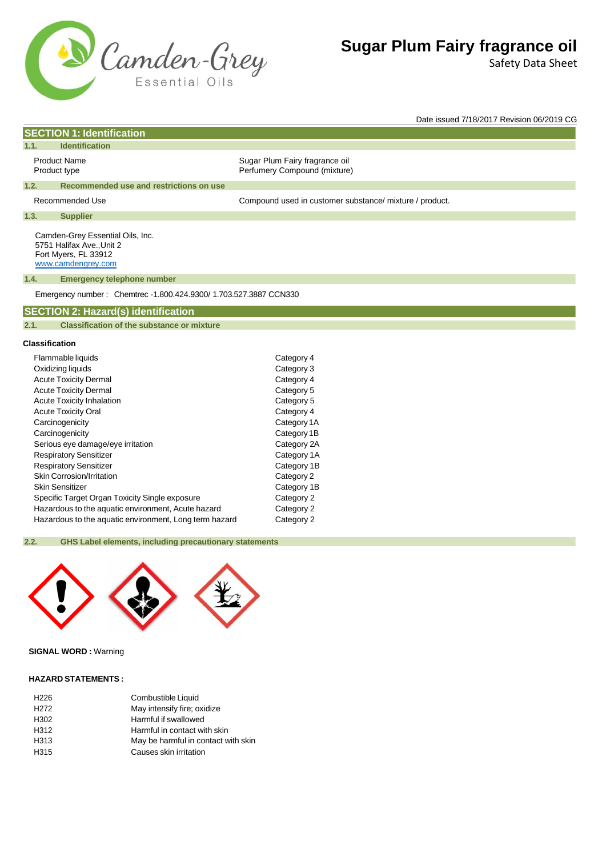

**SECTION 1: Identification**

# **Sugar Plum Fairy fragrance oil**

Safety Data Sheet

Date issued 7/18/2017 Revision 06/2019 CG

| 1.1.<br><b>Identification</b>                                                                                       |                                                                   |                                                                |
|---------------------------------------------------------------------------------------------------------------------|-------------------------------------------------------------------|----------------------------------------------------------------|
| <b>Product Name</b><br>Product type                                                                                 |                                                                   | Sugar Plum Fairy fragrance oil<br>Perfumery Compound (mixture) |
| 1.2.                                                                                                                | Recommended use and restrictions on use                           |                                                                |
| Recommended Use                                                                                                     |                                                                   | Compound used in customer substance/ mixture / product.        |
| 1.3.<br><b>Supplier</b>                                                                                             |                                                                   |                                                                |
| Camden-Grey Essential Oils, Inc.<br>5751 Halifax Ave., Unit 2<br>Fort Myers, FL 33912<br>www.camdengrey.com<br>1.4. | <b>Emergency telephone number</b>                                 |                                                                |
|                                                                                                                     | Emergency number: Chemtrec -1.800.424.9300/ 1.703.527.3887 CCN330 |                                                                |
| <b>SECTION 2: Hazard(s) identification</b>                                                                          |                                                                   |                                                                |
| 2.1.                                                                                                                | <b>Classification of the substance or mixture</b>                 |                                                                |
| <b>Classification</b>                                                                                               |                                                                   |                                                                |
| Flammable liquids                                                                                                   |                                                                   | Category 4                                                     |
| Ovidizing liquide                                                                                                   |                                                                   | C <sub>2</sub>                                                 |

|                                                        | $\sim$ $\sim$ $\sim$ $\sim$ $\sim$ $\sim$ |
|--------------------------------------------------------|-------------------------------------------|
| Oxidizing liquids                                      | Category 3                                |
| <b>Acute Toxicity Dermal</b>                           | Category 4                                |
| <b>Acute Toxicity Dermal</b>                           | Category 5                                |
| Acute Toxicity Inhalation                              | Category 5                                |
| <b>Acute Toxicity Oral</b>                             | Category 4                                |
| Carcinogenicity                                        | Category 1A                               |
| Carcinogenicity                                        | Category 1B                               |
| Serious eye damage/eye irritation                      | Category 2A                               |
| <b>Respiratory Sensitizer</b>                          | Category 1A                               |
| <b>Respiratory Sensitizer</b>                          | Category 1B                               |
| Skin Corrosion/Irritation                              | Category 2                                |
| Skin Sensitizer                                        | Category 1B                               |
| Specific Target Organ Toxicity Single exposure         | Category 2                                |
| Hazardous to the aquatic environment, Acute hazard     | Category 2                                |
| Hazardous to the aquatic environment, Long term hazard | Category 2                                |

## **2.2. GHS Label elements, including precautionary statements**



## **SIGNAL WORD :** Warning

#### **HAZARD STATEMENTS :**

| H <sub>226</sub> | Combustible Liquid                  |
|------------------|-------------------------------------|
| H <sub>272</sub> | May intensify fire; oxidize         |
| H <sub>302</sub> | Harmful if swallowed                |
| H312             | Harmful in contact with skin        |
| H313             | May be harmful in contact with skin |
| H315             | Causes skin irritation              |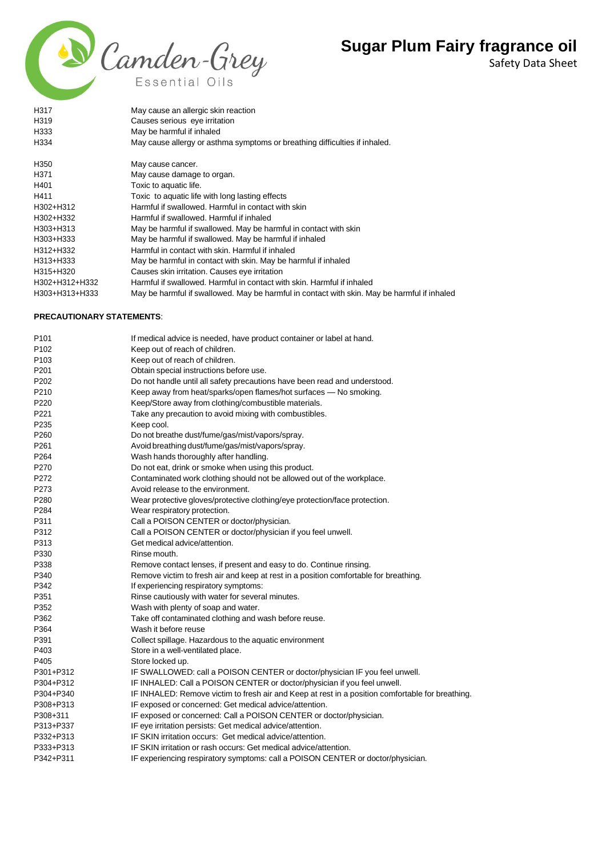

Safety Data Sheet

| H317           | May cause an allergic skin reaction                                                         |
|----------------|---------------------------------------------------------------------------------------------|
| H319           | Causes serious eye irritation                                                               |
| H333           | May be harmful if inhaled                                                                   |
| H334           | May cause allergy or asthma symptoms or breathing difficulties if inhaled.                  |
| H350           | May cause cancer.                                                                           |
| H371           | May cause damage to organ.                                                                  |
| H401           | Toxic to aquatic life.                                                                      |
| H411           | Toxic to aquatic life with long lasting effects                                             |
| H302+H312      | Harmful if swallowed. Harmful in contact with skin                                          |
| H302+H332      | Harmful if swallowed. Harmful if inhaled                                                    |
| H303+H313      | May be harmful if swallowed. May be harmful in contact with skin                            |
| H303+H333      | May be harmful if swallowed. May be harmful if inhaled                                      |
| H312+H332      | Harmful in contact with skin. Harmful if inhaled                                            |
| H313+H333      | May be harmful in contact with skin. May be harmful if inhaled                              |
| H315+H320      | Causes skin irritation. Causes eye irritation                                               |
| H302+H312+H332 | Harmful if swallowed. Harmful in contact with skin. Harmful if inhaled                      |
| H303+H313+H333 | May be harmful if swallowed. May be harmful in contact with skin. May be harmful if inhaled |

### **PRECAUTIONARY STATEMENTS**:

| P <sub>101</sub> | If medical advice is needed, have product container or label at hand.                            |
|------------------|--------------------------------------------------------------------------------------------------|
| P <sub>102</sub> | Keep out of reach of children.                                                                   |
| P <sub>103</sub> | Keep out of reach of children.                                                                   |
| P201             | Obtain special instructions before use.                                                          |
| P <sub>202</sub> | Do not handle until all safety precautions have been read and understood.                        |
| P210             | Keep away from heat/sparks/open flames/hot surfaces - No smoking.                                |
| P220             | Keep/Store away from clothing/combustible materials.                                             |
| P221             | Take any precaution to avoid mixing with combustibles.                                           |
| P235             | Keep cool.                                                                                       |
| P <sub>260</sub> | Do not breathe dust/fume/gas/mist/vapors/spray.                                                  |
| P <sub>261</sub> | Avoid breathing dust/fume/gas/mist/vapors/spray.                                                 |
| P <sub>264</sub> | Wash hands thoroughly after handling.                                                            |
| P270             | Do not eat, drink or smoke when using this product.                                              |
| P272             | Contaminated work clothing should not be allowed out of the workplace.                           |
| P273             | Avoid release to the environment.                                                                |
| P280             | Wear protective gloves/protective clothing/eye protection/face protection.                       |
| P284             | Wear respiratory protection.                                                                     |
| P311             | Call a POISON CENTER or doctor/physician.                                                        |
| P312             | Call a POISON CENTER or doctor/physician if you feel unwell.                                     |
| P313             | Get medical advice/attention.                                                                    |
| P330             | Rinse mouth.                                                                                     |
| P338             | Remove contact lenses, if present and easy to do. Continue rinsing.                              |
| P340             | Remove victim to fresh air and keep at rest in a position comfortable for breathing.             |
| P342             | If experiencing respiratory symptoms:                                                            |
| P351             | Rinse cautiously with water for several minutes.                                                 |
| P352             | Wash with plenty of soap and water.                                                              |
| P362             | Take off contaminated clothing and wash before reuse.                                            |
| P364             | Wash it before reuse                                                                             |
| P391             | Collect spillage. Hazardous to the aquatic environment                                           |
| P403             | Store in a well-ventilated place.                                                                |
| P405             | Store locked up.                                                                                 |
| P301+P312        | IF SWALLOWED: call a POISON CENTER or doctor/physician IF you feel unwell.                       |
| P304+P312        | IF INHALED: Call a POISON CENTER or doctor/physician if you feel unwell.                         |
| P304+P340        | IF INHALED: Remove victim to fresh air and Keep at rest in a position comfortable for breathing. |
| P308+P313        | IF exposed or concerned: Get medical advice/attention.                                           |
| P308+311         | IF exposed or concerned: Call a POISON CENTER or doctor/physician.                               |
| P313+P337        | IF eye irritation persists: Get medical advice/attention.                                        |
| P332+P313        | IF SKIN irritation occurs: Get medical advice/attention.                                         |
| P333+P313        | IF SKIN irritation or rash occurs: Get medical advice/attention.                                 |
| P342+P311        | IF experiencing respiratory symptoms: call a POISON CENTER or doctor/physician.                  |
|                  |                                                                                                  |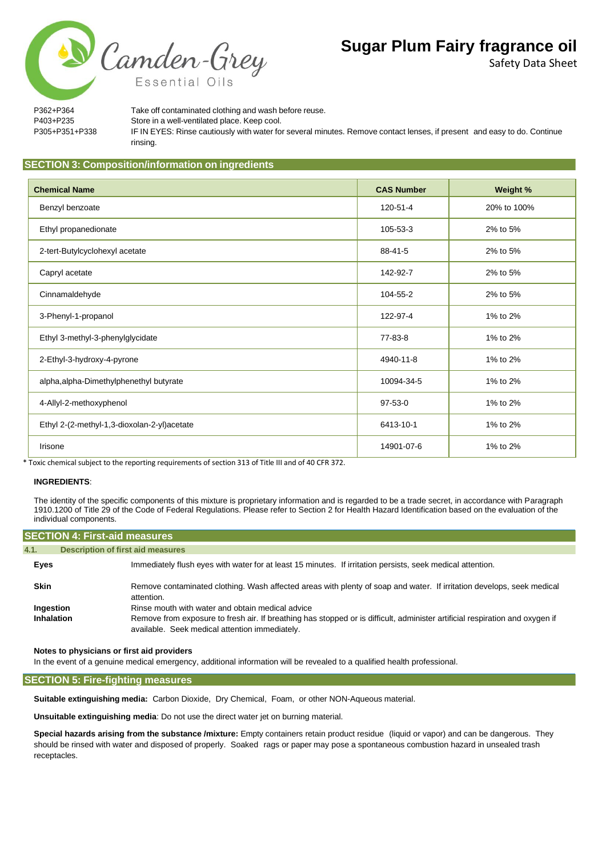Safety Data Sheet



P362+P364 Take off contaminated clothing and wash before reuse. P403+P235 Store in a well-ventilated place. Keep cool. P305+P351+P338 IF IN EYES: Rinse cautiously with water for several minutes. Remove contact lenses, if present and easy to do. Continue rinsing.

# **SECTION 3: Composition/information on ingredients**

| <b>Chemical Name</b>                        | <b>CAS Number</b> | Weight %    |
|---------------------------------------------|-------------------|-------------|
| Benzyl benzoate                             | 120-51-4          | 20% to 100% |
| Ethyl propanedionate                        | 105-53-3          | 2% to 5%    |
| 2-tert-Butylcyclohexyl acetate              | 88-41-5           | 2% to 5%    |
| Capryl acetate                              | 142-92-7          | 2% to 5%    |
| Cinnamaldehyde                              | 104-55-2          | 2% to 5%    |
| 3-Phenyl-1-propanol                         | 122-97-4          | 1% to 2%    |
| Ethyl 3-methyl-3-phenylglycidate            | 77-83-8           | 1% to 2%    |
| 2-Ethyl-3-hydroxy-4-pyrone                  | 4940-11-8         | 1% to 2%    |
| alpha, alpha-Dimethylphenethyl butyrate     | 10094-34-5        | 1% to 2%    |
| 4-Allyl-2-methoxyphenol                     | $97-53-0$         | 1% to 2%    |
| Ethyl 2-(2-methyl-1,3-dioxolan-2-yl)acetate | 6413-10-1         | 1% to 2%    |
| Irisone                                     | 14901-07-6        | 1% to 2%    |

\* Toxic chemical subject to the reporting requirements of section 313 of Title III and of 40 CFR 372.

#### **INGREDIENTS**:

The identity of the specific components of this mixture is proprietary information and is regarded to be a trade secret, in accordance with Paragraph 1910.1200 of Title 29 of the Code of Federal Regulations. Please refer to Section 2 for Health Hazard Identification based on the evaluation of the individual components.

### **SECTION 4: First-aid measures**

| 4.1.                    | Description of first aid measures                                                                                                                                                                                                  |
|-------------------------|------------------------------------------------------------------------------------------------------------------------------------------------------------------------------------------------------------------------------------|
| Eyes                    | Immediately flush eyes with water for at least 15 minutes. If irritation persists, seek medical attention.                                                                                                                         |
| <b>Skin</b>             | Remove contaminated clothing. Wash affected areas with plenty of soap and water. If irritation develops, seek medical<br>attention.                                                                                                |
| Ingestion<br>Inhalation | Rinse mouth with water and obtain medical advice<br>Remove from exposure to fresh air. If breathing has stopped or is difficult, administer artificial respiration and oxygen if<br>available. Seek medical attention immediately. |

#### **Notes to physicians or first aid providers**

In the event of a genuine medical emergency, additional information will be revealed to a qualified health professional.

#### **SECTION 5: Fire-fighting measures**

**Suitable extinguishing media:** Carbon Dioxide, Dry Chemical, Foam, or other NON-Aqueous material.

**Unsuitable extinguishing media**: Do not use the direct water jet on burning material.

**Special hazards arising from the substance /mixture:** Empty containers retain product residue (liquid or vapor) and can be dangerous. They should be rinsed with water and disposed of properly. Soaked rags or paper may pose a spontaneous combustion hazard in unsealed trash receptacles.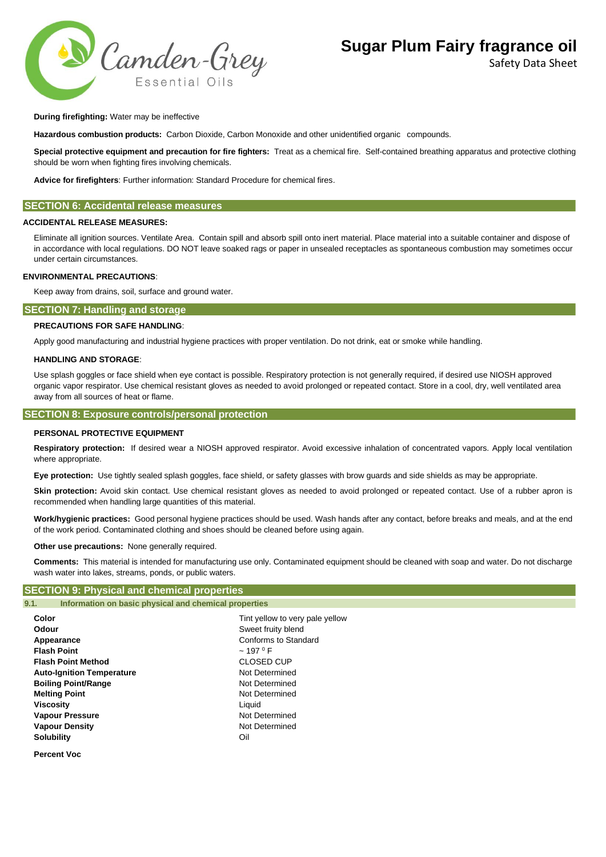

Safety Data Sheet

#### **During firefighting:** Water may be ineffective

**Hazardous combustion products:** Carbon Dioxide, Carbon Monoxide and other unidentified organic compounds.

**Special protective equipment and precaution for fire fighters:** Treat as a chemical fire. Self-contained breathing apparatus and protective clothing should be worn when fighting fires involving chemicals.

**Advice for firefighters**: Further information: Standard Procedure for chemical fires.

#### **SECTION 6: Accidental release measures**

#### **ACCIDENTAL RELEASE MEASURES:**

Eliminate all ignition sources. Ventilate Area. Contain spill and absorb spill onto inert material. Place material into a suitable container and dispose of in accordance with local regulations. DO NOT leave soaked rags or paper in unsealed receptacles as spontaneous combustion may sometimes occur under certain circumstances.

#### **ENVIRONMENTAL PRECAUTIONS**:

Keep away from drains, soil, surface and ground water.

### **SECTION 7: Handling and storage**

#### **PRECAUTIONS FOR SAFE HANDLING**:

Apply good manufacturing and industrial hygiene practices with proper ventilation. Do not drink, eat or smoke while handling.

#### **HANDLING AND STORAGE**:

Use splash goggles or face shield when eye contact is possible. Respiratory protection is not generally required, if desired use NIOSH approved organic vapor respirator. Use chemical resistant gloves as needed to avoid prolonged or repeated contact. Store in a cool, dry, well ventilated area away from all sources of heat or flame.

#### **SECTION 8: Exposure controls/personal protection**

#### **PERSONAL PROTECTIVE EQUIPMENT**

**Respiratory protection:** If desired wear a NIOSH approved respirator. Avoid excessive inhalation of concentrated vapors. Apply local ventilation where appropriate.

**Eye protection:** Use tightly sealed splash goggles, face shield, or safety glasses with brow guards and side shields as may be appropriate.

Skin protection: Avoid skin contact. Use chemical resistant gloves as needed to avoid prolonged or repeated contact. Use of a rubber apron is recommended when handling large quantities of this material.

**Work/hygienic practices:** Good personal hygiene practices should be used. Wash hands after any contact, before breaks and meals, and at the end of the work period. Contaminated clothing and shoes should be cleaned before using again.

**Other use precautions:** None generally required.

**Comments:** This material is intended for manufacturing use only. Contaminated equipment should be cleaned with soap and water. Do not discharge wash water into lakes, streams, ponds, or public waters.

## **SECTION 9: Physical and chemical properties**

| Information on basic physical and chemical properties<br>9.1. |                                 |  |
|---------------------------------------------------------------|---------------------------------|--|
| Color                                                         | Tint yellow to very pale yellow |  |
| Odour                                                         | Sweet fruity blend              |  |
| Appearance                                                    | Conforms to Standard            |  |
| <b>Flash Point</b>                                            | $~197~^{\circ}$ F               |  |
| <b>Flash Point Method</b>                                     | <b>CLOSED CUP</b>               |  |
| <b>Auto-Ignition Temperature</b>                              | Not Determined                  |  |
| <b>Boiling Point/Range</b>                                    | Not Determined                  |  |
| <b>Melting Point</b>                                          | Not Determined                  |  |
| <b>Viscosity</b>                                              | Liquid                          |  |
| <b>Vapour Pressure</b>                                        | Not Determined                  |  |
| <b>Vapour Density</b>                                         | Not Determined                  |  |
| <b>Solubility</b>                                             | Oil                             |  |
|                                                               |                                 |  |

**Percent Voc**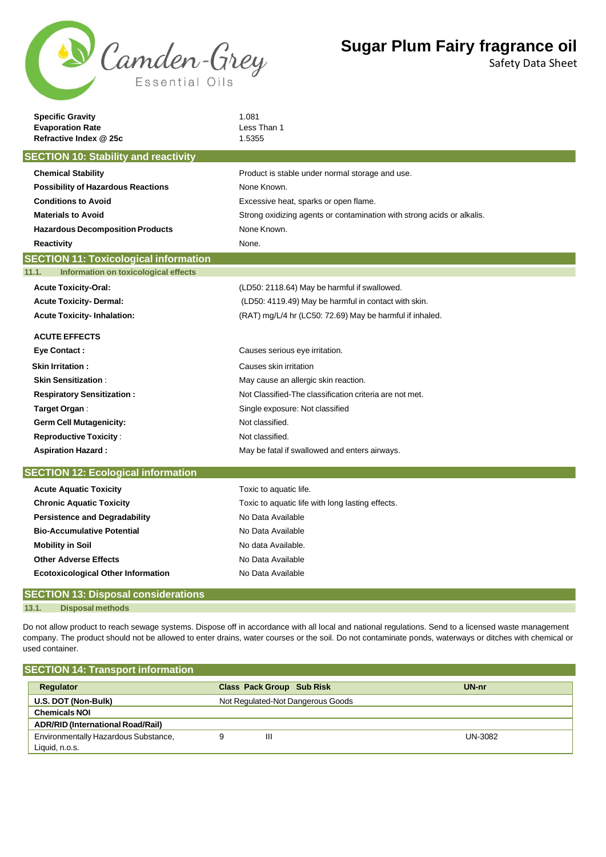

Safety Data Sheet

| <b>Specific Gravity</b>                           | 1.081<br>Less Than 1                                                   |  |  |  |  |
|---------------------------------------------------|------------------------------------------------------------------------|--|--|--|--|
| <b>Evaporation Rate</b><br>Refractive Index @ 25c | 1.5355                                                                 |  |  |  |  |
| <b>SECTION 10: Stability and reactivity</b>       |                                                                        |  |  |  |  |
| <b>Chemical Stability</b>                         | Product is stable under normal storage and use.                        |  |  |  |  |
| <b>Possibility of Hazardous Reactions</b>         | None Known.                                                            |  |  |  |  |
| <b>Conditions to Avoid</b>                        | Excessive heat, sparks or open flame.                                  |  |  |  |  |
| <b>Materials to Avoid</b>                         | Strong oxidizing agents or contamination with strong acids or alkalis. |  |  |  |  |
| <b>Hazardous Decomposition Products</b>           | None Known.                                                            |  |  |  |  |
| Reactivity                                        | None.                                                                  |  |  |  |  |
| <b>SECTION 11: Toxicological information</b>      |                                                                        |  |  |  |  |
| 11.1.<br>Information on toxicological effects     |                                                                        |  |  |  |  |
| <b>Acute Toxicity-Oral:</b>                       | (LD50: 2118.64) May be harmful if swallowed.                           |  |  |  |  |
| <b>Acute Toxicity- Dermal:</b>                    | (LD50: 4119.49) May be harmful in contact with skin.                   |  |  |  |  |
| <b>Acute Toxicity-Inhalation:</b>                 | (RAT) mg/L/4 hr (LC50: 72.69) May be harmful if inhaled.               |  |  |  |  |
| <b>ACUTE EFFECTS</b>                              |                                                                        |  |  |  |  |
| <b>Eye Contact:</b>                               | Causes serious eye irritation.                                         |  |  |  |  |
| <b>Skin Irritation:</b>                           | Causes skin irritation                                                 |  |  |  |  |
| <b>Skin Sensitization:</b>                        | May cause an allergic skin reaction.                                   |  |  |  |  |
| <b>Respiratory Sensitization:</b>                 | Not Classified-The classification criteria are not met.                |  |  |  |  |
| Target Organ:                                     | Single exposure: Not classified                                        |  |  |  |  |
| <b>Germ Cell Mutagenicity:</b>                    | Not classified.                                                        |  |  |  |  |
| <b>Reproductive Toxicity:</b>                     | Not classified.                                                        |  |  |  |  |
| <b>Aspiration Hazard:</b>                         | May be fatal if swallowed and enters airways.                          |  |  |  |  |
| <b>SECTION 12: Ecological information</b>         |                                                                        |  |  |  |  |
| <b>Acute Aquatic Toxicity</b>                     | Toxic to aquatic life.                                                 |  |  |  |  |
| <b>Chronic Aquatic Toxicity</b>                   | Toxic to aquatic life with long lasting effects.                       |  |  |  |  |
| <b>Persistence and Degradability</b>              | No Data Available                                                      |  |  |  |  |
| <b>Bio-Accumulative Potential</b>                 | No Data Available                                                      |  |  |  |  |
| <b>Mobility in Soil</b>                           | No data Available.                                                     |  |  |  |  |
| <b>Other Adverse Effects</b>                      | No Data Available                                                      |  |  |  |  |
| <b>Ecotoxicological Other Information</b>         | No Data Available                                                      |  |  |  |  |
| <b>SECTION 13: Disposal considerations</b>        |                                                                        |  |  |  |  |
| 13.1.<br><b>Disposal methods</b>                  |                                                                        |  |  |  |  |

Do not allow product to reach sewage systems. Dispose off in accordance with all local and national regulations. Send to a licensed waste management company. The product should not be allowed to enter drains, water courses or the soil. Do not contaminate ponds, waterways or ditches with chemical or used container.

| <b>SECTION 14: Transport information</b> |                                   |         |
|------------------------------------------|-----------------------------------|---------|
| Regulator                                | <b>Class Pack Group Sub Risk</b>  | UN-nr   |
| U.S. DOT (Non-Bulk)                      | Not Regulated-Not Dangerous Goods |         |
| <b>Chemicals NOI</b>                     |                                   |         |
| <b>ADR/RID (International Road/Rail)</b> |                                   |         |
| Environmentally Hazardous Substance,     | Ш                                 | UN-3082 |
| Liquid, n.o.s.                           |                                   |         |